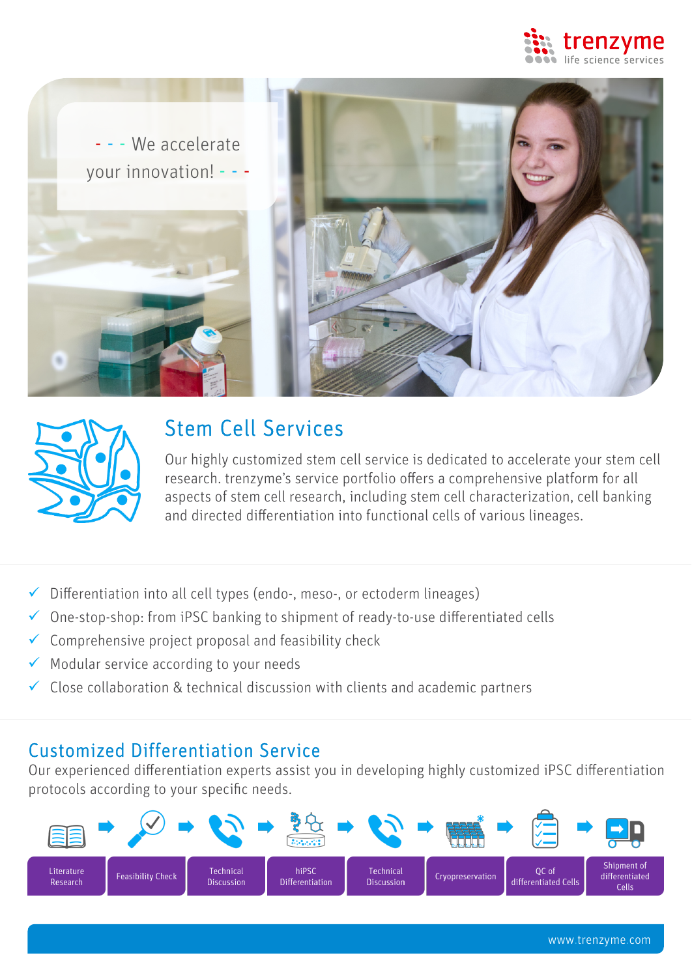





# Stem Cell Services

Our highly customized stem cell service is dedicated to accelerate your stem cell research. trenzyme's service portfolio offers a comprehensive platform for all aspects of stem cell research, including stem cell characterization, cell banking and directed differentiation into functional cells of various lineages.

- $\checkmark$  Differentiation into all cell types (endo-, meso-, or ectoderm lineages)
- $\checkmark$  One-stop-shop: from iPSC banking to shipment of ready-to-use differentiated cells
- $\checkmark$  Comprehensive project proposal and feasibility check
- $\checkmark$  Modular service according to your needs
- $\checkmark$  Close collaboration & technical discussion with clients and academic partners

### Customized Differentiation Service

Our experienced differentiation experts assist you in developing highly customized iPSC differentiation protocols according to your specific needs.